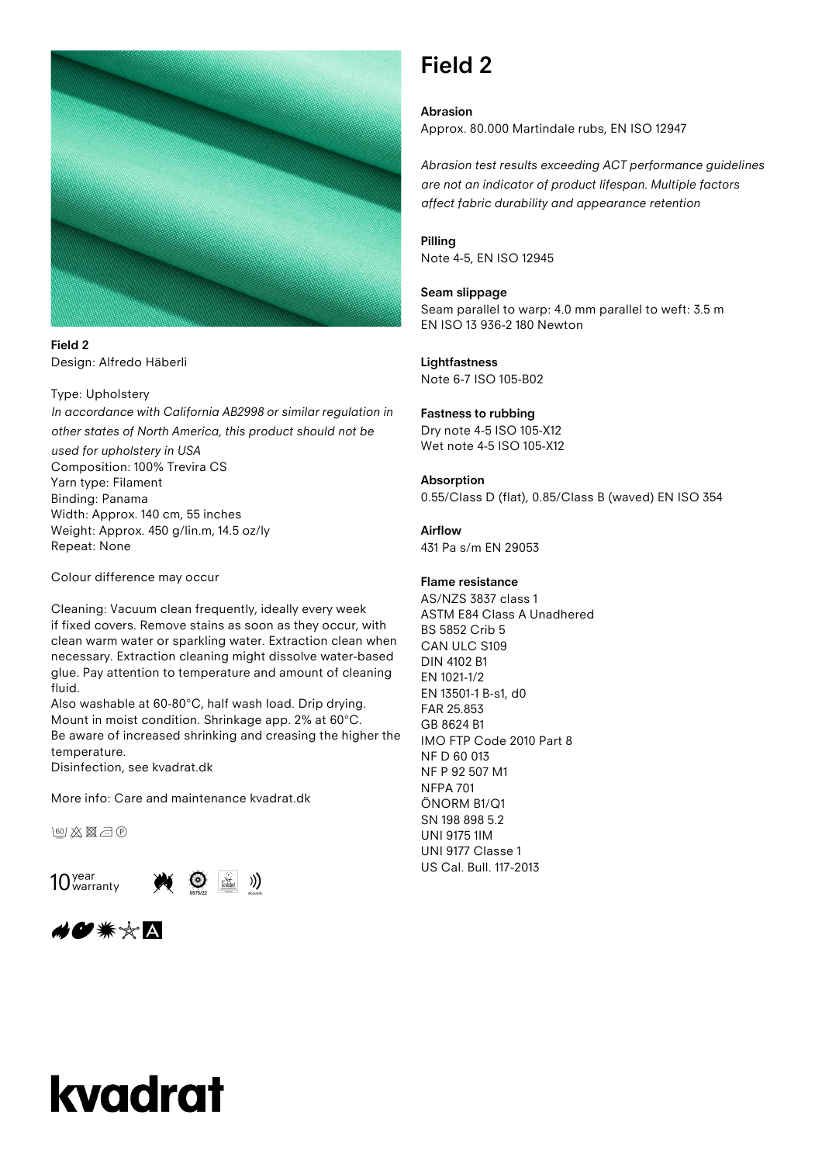

**Field 2** Design: Alfredo Häberli

#### Type: Upholstery

*In accordance with California AB2998 or similar regulation in other states of North America, this product should not be* 

*used for upholstery in USA*  Composition: 100% Trevira CS Yarn type: Filament Binding: Panama Width: Approx. 140 cm, 55 inches Weight: Approx. 450 g/lin.m, 14.5 oz/ly Repeat: None

Colour difference may occur

Cleaning: Vacuum clean frequently, ideally every week if fixed covers. Remove stains as soon as they occur, with clean warm water or sparkling water. Extraction clean when necessary. Extraction cleaning might dissolve water-based glue. Pay attention to temperature and amount of cleaning fluid.

Also washable at 60-80°C, half wash load. Drip drying. Mount in moist condition. Shrinkage app. 2% at 60°C. Be aware of increased shrinking and creasing the higher the temperature.

Disinfection, see kvadrat.dk

More info: Care and maintenance kvadrat.dk

医及圆面包





### **Field 2**

**Abrasion** Approx. 80.000 Martindale rubs, EN ISO 12947

*Abrasion test results exceeding ACT performance guidelines are not an indicator of product lifespan. Multiple factors affect fabric durability and appearance retention*

#### **Pilling**

Note 4-5, EN ISO 12945

#### **Seam slippage**

Seam parallel to warp: 4.0 mm parallel to weft: 3.5 m EN ISO 13 936-2 180 Newton

### **Lightfastness**

Note 6-7 ISO 105-B02

#### **Fastness to rubbing**

Dry note 4-5 ISO 105-X12 Wet note 4-5 ISO 105-X12

#### **Absorption**

0.55/Class D (flat), 0.85/Class B (waved) EN ISO 354

#### **Airflow**

431 Pa s/m EN 29053

#### **Flame resistance**

AS/NZS 3837 class 1 ASTM E84 Class A Unadhered BS 5852 Crib 5 CAN ULC S109 DIN 4102 B1 EN 1021-1/2 EN 13501-1 B-s1, d0 FAR 25.853 GB 8624 B1 IMO FTP Code 2010 Part 8 NF D 60 013 NF P 92 507 M1 NFPA 701 ÖNORM B1/Q1 SN 198 898 5.2 UNI 9175 1IM UNI 9177 Classe 1 US Cal. Bull. 117-2013

# kvadrat